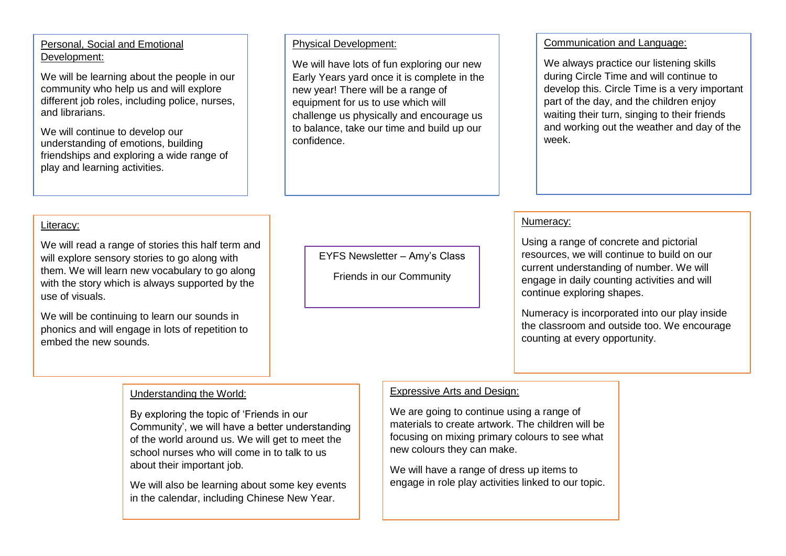# Personal, Social and Emotional Development:

We will be learning about the people in our community who help us and will explore different job roles, including police, nurses, and librarians.

We will continue to develop our understanding of emotions, building friendships and exploring a wide range of play and learning activities.

#### Physical Development:

We will have lots of fun exploring our new Early Years yard once it is complete in the new year! There will be a range of equipment for us to use which will challenge us physically and encourage us to balance, take our time and build up our confidence.

## Communication and Language:

We always practice our listening skills during Circle Time and will continue to develop this. Circle Time is a very important part of the day, and the children enjoy waiting their turn, singing to their friends and working out the weather and day of the week.

# Literacy:

We will read a range of stories this half term and will explore sensory stories to go along with them. We will learn new vocabulary to go along with the story which is always supported by the use of visuals.

We will be continuing to learn our sounds in phonics and will engage in lots of repetition to embed the new sounds.

EYFS Newsletter – Amy's Class

Friends in our Community

### Numeracy:

Using a range of concrete and pictorial resources, we will continue to build on our current understanding of number. We will engage in daily counting activities and will continue exploring shapes.

Numeracy is incorporated into our play inside the classroom and outside too. We encourage counting at every opportunity.

### Understanding the World:

By exploring the topic of 'Friends in our Community', we will have a better understanding of the world around us. We will get to meet the school nurses who will come in to talk to us about their important job.

We will also be learning about some key events in the calendar, including Chinese New Year.

## Expressive Arts and Design:

We are going to continue using a range of materials to create artwork. The children will be focusing on mixing primary colours to see what new colours they can make.

We will have a range of dress up items to engage in role play activities linked to our topic.